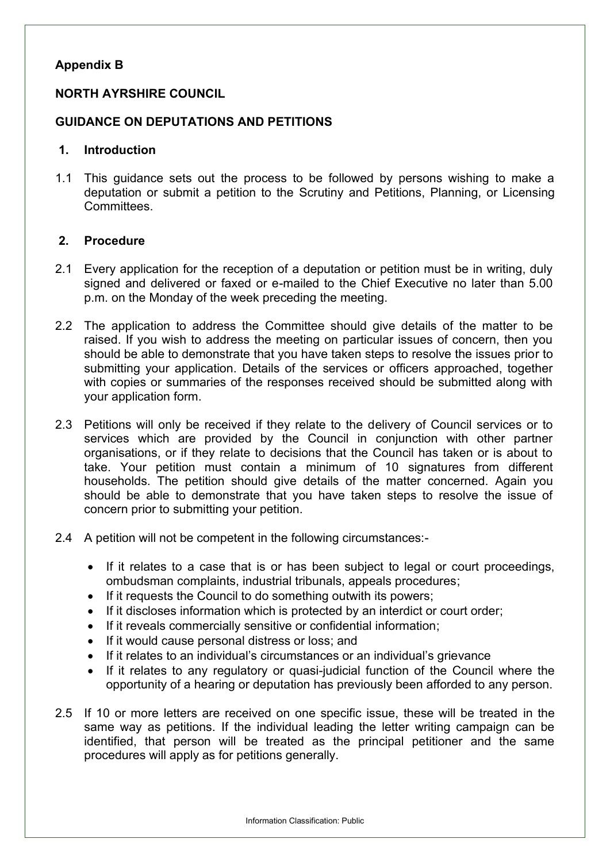## **Appendix B**

### **NORTH AYRSHIRE COUNCIL**

### **GUIDANCE ON DEPUTATIONS AND PETITIONS**

#### **1. Introduction**

1.1 This guidance sets out the process to be followed by persons wishing to make a deputation or submit a petition to the Scrutiny and Petitions, Planning, or Licensing Committees.

#### **2. Procedure**

- 2.1 Every application for the reception of a deputation or petition must be in writing, duly signed and delivered or faxed or e-mailed to the Chief Executive no later than 5.00 p.m. on the Monday of the week preceding the meeting.
- 2.2 The application to address the Committee should give details of the matter to be raised. If you wish to address the meeting on particular issues of concern, then you should be able to demonstrate that you have taken steps to resolve the issues prior to submitting your application. Details of the services or officers approached, together with copies or summaries of the responses received should be submitted along with your application form.
- 2.3 Petitions will only be received if they relate to the delivery of Council services or to services which are provided by the Council in conjunction with other partner organisations, or if they relate to decisions that the Council has taken or is about to take. Your petition must contain a minimum of 10 signatures from different households. The petition should give details of the matter concerned. Again you should be able to demonstrate that you have taken steps to resolve the issue of concern prior to submitting your petition.
- 2.4 A petition will not be competent in the following circumstances:-
	- If it relates to a case that is or has been subject to legal or court proceedings, ombudsman complaints, industrial tribunals, appeals procedures;
	- If it requests the Council to do something outwith its powers;
	- If it discloses information which is protected by an interdict or court order;
	- If it reveals commercially sensitive or confidential information;
	- If it would cause personal distress or loss; and
	- If it relates to an individual's circumstances or an individual's grievance
	- If it relates to any regulatory or quasi-judicial function of the Council where the opportunity of a hearing or deputation has previously been afforded to any person.
- 2.5 If 10 or more letters are received on one specific issue, these will be treated in the same way as petitions. If the individual leading the letter writing campaign can be identified, that person will be treated as the principal petitioner and the same procedures will apply as for petitions generally.